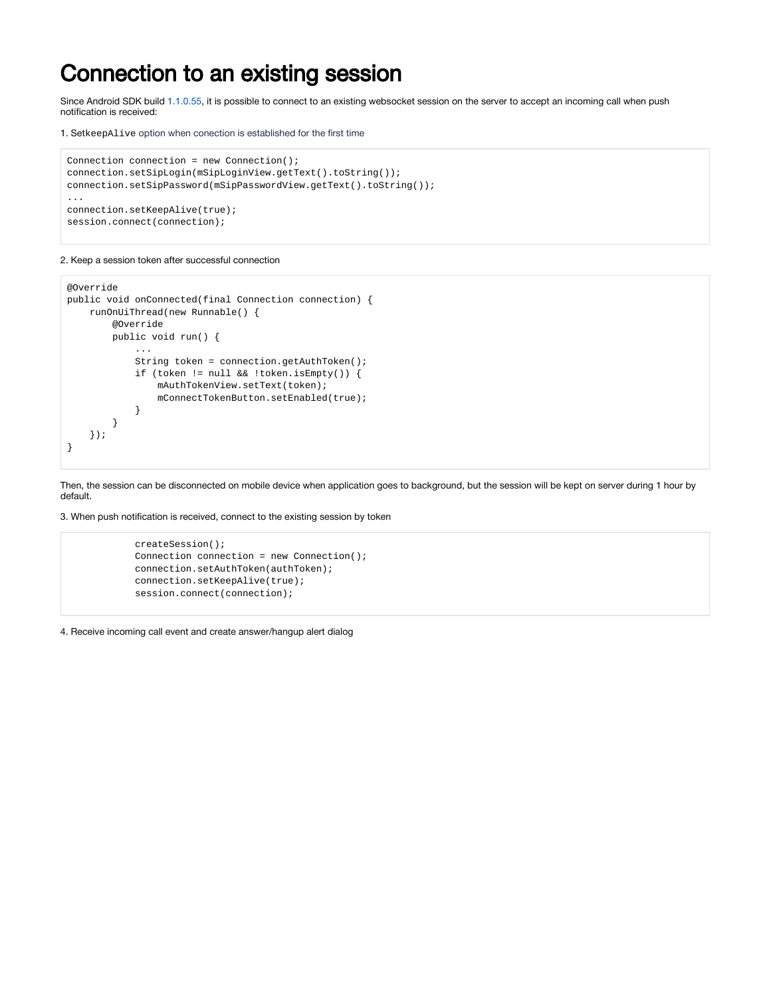## Connection to an existing session

Since Android SDK build [1.1.0.55](https://flashphoner.com/downloads/builds/flashphoner_client/wcs-android-sdk/1.1/wcs-android-sdk-1.1.0.55-fb076271d08bdd6190eef70052e27c714230c1d8.tar.gz), it is possible to connect to an existing websocket session on the server to accept an incoming call when push notification is received:

1. SetkeepAlive option when conection is established for the first time

```
Connection connection = new Connection();
connection.setSipLogin(mSipLoginView.getText().toString());
connection.setSipPassword(mSipPasswordView.getText().toString());
...
connection.setKeepAlive(true);
session.connect(connection);
```
2. Keep a session token after successful connection

```
@Override
public void onConnected(final Connection connection) {
     runOnUiThread(new Runnable() {
         @Override
         public void run() {
             ...
             String token = connection.getAuthToken();
             if (token != null && !token.isEmpty()) {
                 mAuthTokenView.setText(token);
                  mConnectTokenButton.setEnabled(true);
             }
         }
     });
}
```
Then, the session can be disconnected on mobile device when application goes to background, but the session will be kept on server during 1 hour by default.

3. When push notification is received, connect to the existing session by token

```
 createSession();
 Connection connection = new Connection();
 connection.setAuthToken(authToken);
 connection.setKeepAlive(true);
 session.connect(connection);
```
4. Receive incoming call event and create answer/hangup alert dialog